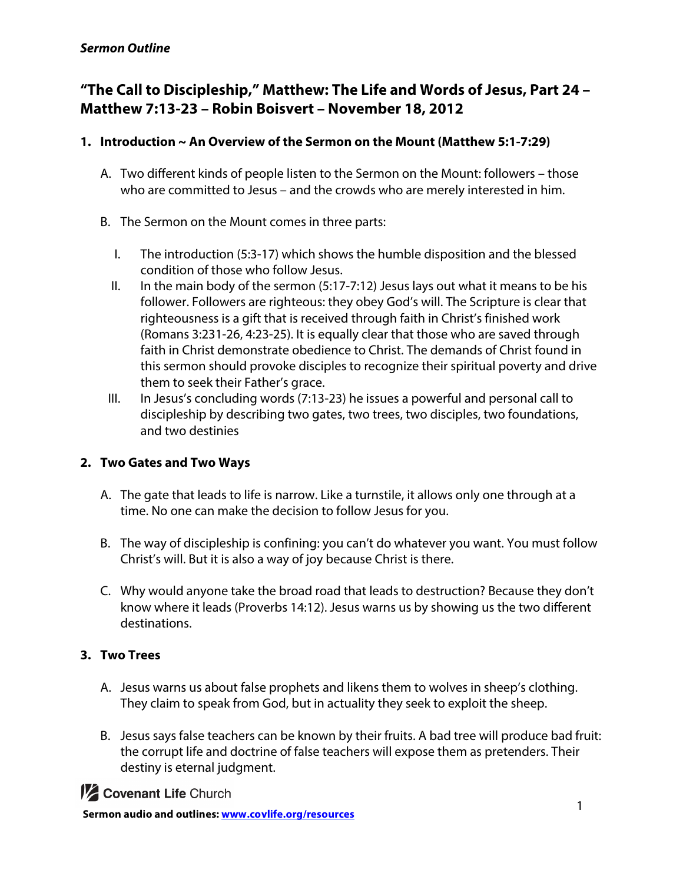# **"The Call to Discipleship," Matthew: The Life and Words of Jesus, Part 24 – Matthew 7:13-23 – Robin Boisvert – November 18, 2012**

# **1. Introduction ~ An Overview of the Sermon on the Mount (Matthew 5:1-7:29)**

- A. Two different kinds of people listen to the Sermon on the Mount: followers those who are committed to Jesus – and the crowds who are merely interested in him.
- B. The Sermon on the Mount comes in three parts:
	- I. The introduction (5:3-17) which shows the humble disposition and the blessed condition of those who follow Jesus.
	- II. In the main body of the sermon  $(5:17-7:12)$  Jesus lays out what it means to be his follower. Followers are righteous: they obey God's will. The Scripture is clear that righteousness is a gift that is received through faith in Christ's finished work (Romans 3:231-26, 4:23-25). It is equally clear that those who are saved through faith in Christ demonstrate obedience to Christ. The demands of Christ found in this sermon should provoke disciples to recognize their spiritual poverty and drive them to seek their Father's grace.
- III. In Jesus's concluding words (7:13-23) he issues a powerful and personal call to discipleship by describing two gates, two trees, two disciples, two foundations, and two destinies

# **2. Two Gates and Two Ways**

- A. The gate that leads to life is narrow. Like a turnstile, it allows only one through at a time. No one can make the decision to follow Jesus for you.
- B. The way of discipleship is confining: you can't do whatever you want. You must follow Christ's will. But it is also a way of joy because Christ is there.
- C. Why would anyone take the broad road that leads to destruction? Because they don't know where it leads (Proverbs 14:12). Jesus warns us by showing us the two different destinations.

# **3. Two Trees**

- A. Jesus warns us about false prophets and likens them to wolves in sheep's clothing. They claim to speak from God, but in actuality they seek to exploit the sheep.
- B. Jesus says false teachers can be known by their fruits. A bad tree will produce bad fruit: the corrupt life and doctrine of false teachers will expose them as pretenders. Their destiny is eternal judgment.

**1/2 Covenant Life Church**<br> **1** Sermon audio and outlines: www.covlife.org/resources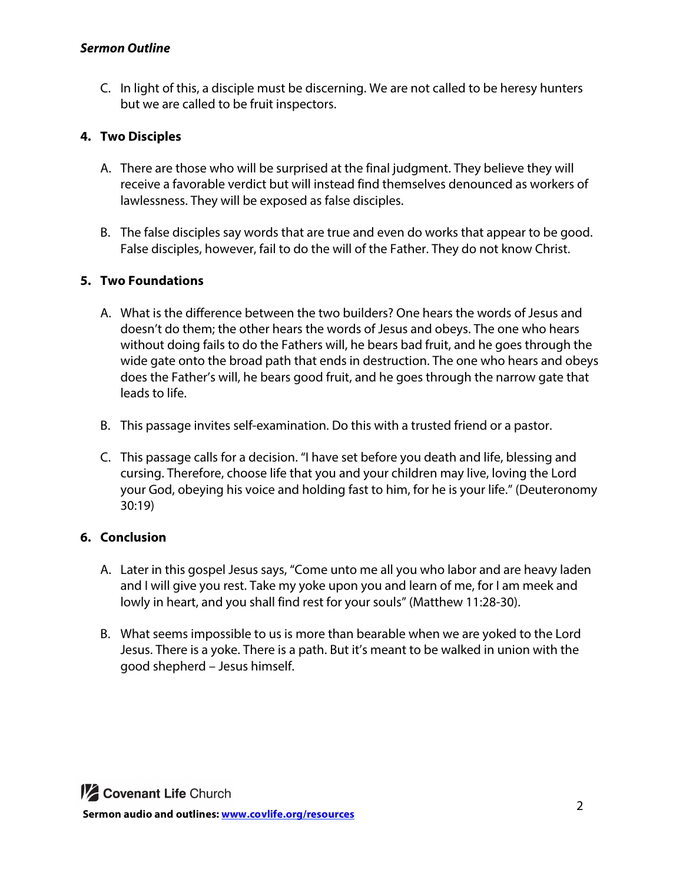#### *Sermon Outline*

C. In light of this, a disciple must be discerning. We are not called to be heresy hunters but we are called to be fruit inspectors.

## **4. Two Disciples**

- A. There are those who will be surprised at the final judgment. They believe they will receive a favorable verdict but will instead find themselves denounced as workers of lawlessness. They will be exposed as false disciples.
- B. The false disciples say words that are true and even do works that appear to be good. False disciples, however, fail to do the will of the Father. They do not know Christ.

#### **5. Two Foundations**

- A. What is the difference between the two builders? One hears the words of Jesus and doesn't do them; the other hears the words of Jesus and obeys. The one who hears without doing fails to do the Fathers will, he bears bad fruit, and he goes through the wide gate onto the broad path that ends in destruction. The one who hears and obeys does the Father's will, he bears good fruit, and he goes through the narrow gate that leads to life.
- B. This passage invites self-examination. Do this with a trusted friend or a pastor.
- C. This passage calls for a decision. "I have set before you death and life, blessing and cursing. Therefore, choose life that you and your children may live, loving the Lord your God, obeying his voice and holding fast to him, for he is your life." (Deuteronomy 30:19)

#### **6. Conclusion**

- A. Later in this gospel Jesus says, "Come unto me all you who labor and are heavy laden and I will give you rest. Take my yoke upon you and learn of me, for I am meek and lowly in heart, and you shall find rest for your souls" (Matthew 11:28-30).
- B. What seems impossible to us is more than bearable when we are yoked to the Lord Jesus. There is a yoke. There is a path. But it's meant to be walked in union with the good shepherd – Jesus himself.